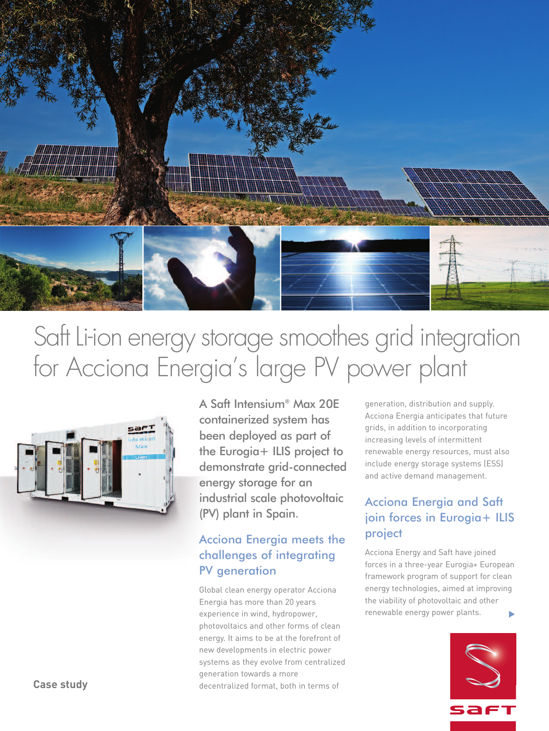

# Saft Li-ion energy storage smoothes grid integration for Acciona Energia ' s large PV power plant



A Saft Intensium® Max 20E containerized system has been deployed as part of the Eurogia+ ILIS project to demonstrate grid-connected energy storage for an industrial scale photovoltaic (PV) plant in Spain.

## Acciona Energia meets the challenges of integrating PV generation

Global clean energy operator Acciona Energia has more than 20 years experience in wind, hydropower, photovoltaics and other forms of clean energy. It aims to be at the forefront of new developments in electric power systems as they evolve from centralized generation towards a more decentralized format, both in terms of

generation, distribution and supply. Acciona Energia anticipates that future grids, in addition to incorporating increasing levels of intermittent renewable energy resources, must also include energy storage systems (ESS) and active demand management.

## Acciona Energia and Saft join forces in Eurogia+ ILIS project

Acciona Energy and Saft have joined forces in a three-year Eurogia+ European framework program of support for clean energy technologies, aimed at improving the viability of photovoltaic and other renewable energy power plants. **▼**



**Case study**